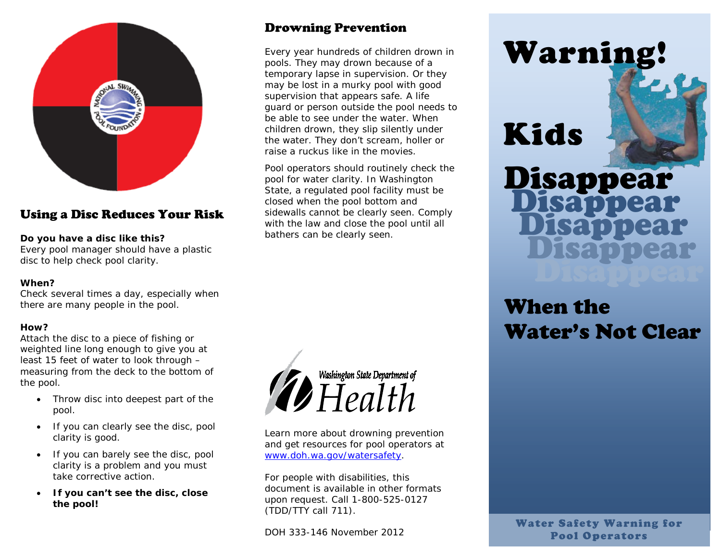

## Using a Disc Reduces Your Risk

### **Do you have a disc like this?**

Every pool manager should have a plastic disc to help check pool clarity.

#### **When?**

Check several times a day, especially when there are many people in the pool.

### **How?**

Attach the disc to a piece of fishing or weighted line long enough to give you at least 15 feet of water to look through – measuring from the deck to the bottom of the pool.

- Throw disc into deepest part of the pool.
- If you can clearly see the disc, pool clarity is good.
- If you can barely see the disc, pool clarity is a problem and you must take corrective action.
- **If you can't see the disc, close the pool!**

## Drowning Prevention

Every year hundreds of children drown in pools. They may drown because of a temporary lapse in supervision. Or they may be lost in a murky pool with good supervision that appears safe. A life guard or person outside the pool needs to be able to see under the water. When children drown, they slip silently under the water. They don't scream, holler or raise a ruckus like in the movies.

Pool operators should routinely check the pool for water clarity. In Washington State, a regulated pool facility must be closed when the pool bottom and sidewalls cannot be clearly seen. Comply with the law and close the pool until all bathers can be clearly seen.



Learn more about drowning prevention and get resources for pool operators at [www.doh.wa.gov/watersafety.](http://www.doh.wa.gov/watersafety)

For people with disabilities, this document is available in other formats upon request. Call 1-800-525-0127 (TDD/TTY call 711).

DOH 333-146 November 2012

# Warning!

## Kids

## j Disappear Disappear Disappear Disappear Disappear

## When the Water's Not Clear

Water Safety Warning for Pool Operators